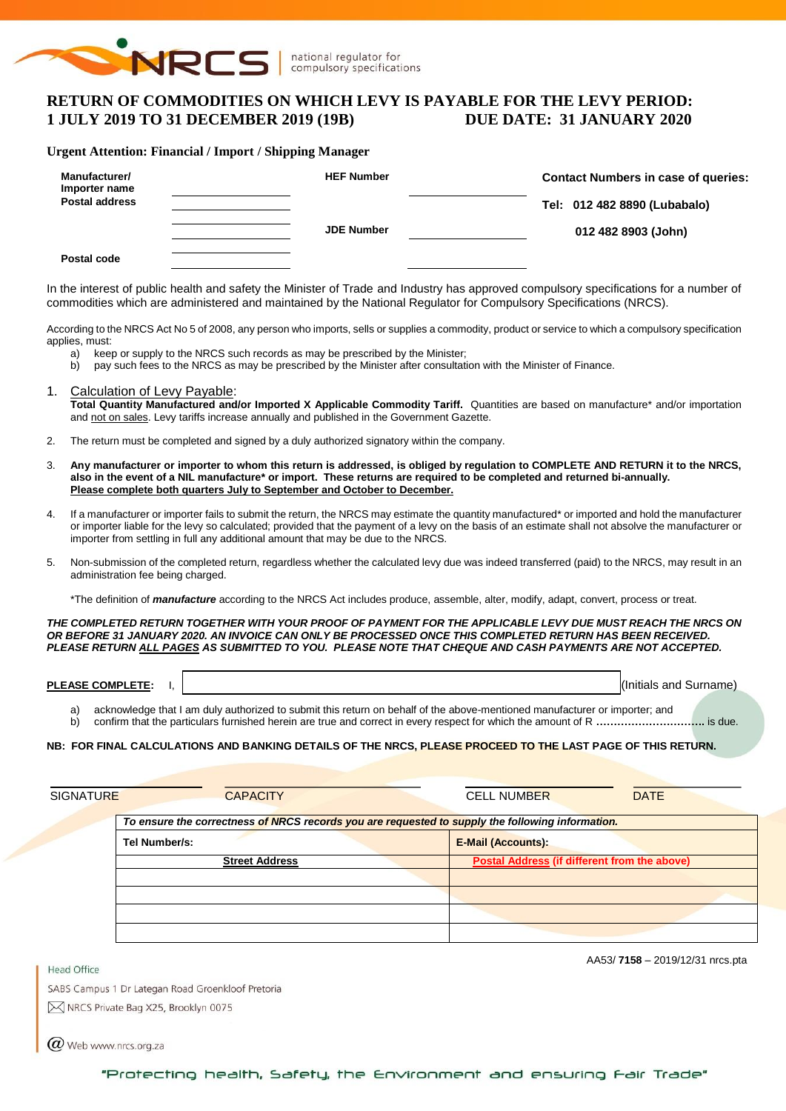

# **RETURN OF COMMODITIES ON WHICH LEVY IS PAYABLE FOR THE LEVY PERIOD: 1 JULY 2019 TO 31 DECEMBER 2019 (19B) DUE DATE: 31 JANUARY 2020**

#### **Urgent Attention: Financial / Import / Shipping Manager**

| Manufacturer/<br>Importer name | <b>HEF Number</b> | <b>Contact Numbers in case of queries:</b> |
|--------------------------------|-------------------|--------------------------------------------|
| <b>Postal address</b>          |                   | Tel: 012 482 8890 (Lubabalo)               |
|                                | <b>JDE Number</b> | 012 482 8903 (John)                        |
| Postal code                    |                   |                                            |

In the interest of public health and safety the Minister of Trade and Industry has approved compulsory specifications for a number of commodities which are administered and maintained by the National Regulator for Compulsory Specifications (NRCS).

According to the NRCS Act No 5 of 2008, any person who imports, sells or supplies a commodity, product or service to which a compulsory specification applies, must:

- a) keep or supply to the NRCS such records as may be prescribed by the Minister;
- b) pay such fees to the NRCS as may be prescribed by the Minister after consultation with the Minister of Finance.
- 1. Calculation of Levy Payable: **Total Quantity Manufactured and/or Imported X Applicable Commodity Tariff.** Quantities are based on manufacture\* and/or importation and not on sales. Levy tariffs increase annually and published in the Government Gazette.
- 2. The return must be completed and signed by a duly authorized signatory within the company.
- 3. **Any manufacturer or importer to whom this return is addressed, is obliged by regulation to COMPLETE AND RETURN it to the NRCS, also in the event of a NIL manufacture\* or import. These returns are required to be completed and returned bi-annually. Please complete both quarters July to September and October to December.**
- 4. If a manufacturer or importer fails to submit the return, the NRCS may estimate the quantity manufactured\* or imported and hold the manufacturer or importer liable for the levy so calculated; provided that the payment of a levy on the basis of an estimate shall not absolve the manufacturer or importer from settling in full any additional amount that may be due to the NRCS.
- 5. Non-submission of the completed return, regardless whether the calculated levy due was indeed transferred (paid) to the NRCS, may result in an administration fee being charged.

\*The definition of *manufacture* according to the NRCS Act includes produce, assemble, alter, modify, adapt, convert, process or treat.

*THE COMPLETED RETURN TOGETHER WITH YOUR PROOF OF PAYMENT FOR THE APPLICABLE LEVY DUE MUST REACH THE NRCS ON OR BEFORE 31 JANUARY 2020. AN INVOICE CAN ONLY BE PROCESSED ONCE THIS COMPLETED RETURN HAS BEEN RECEIVED. PLEASE RETURN ALL PAGES AS SUBMITTED TO YOU. PLEASE NOTE THAT CHEQUE AND CASH PAYMENTS ARE NOT ACCEPTED.*

| <b>LEASE COMP'</b><br>---<br>TE.<br>ы<br>. . | l(Ir<br>and<br>าเขลเร<br>OШ<br>the contract of the contract of the contract of the contract of the contract of | name |
|----------------------------------------------|----------------------------------------------------------------------------------------------------------------|------|
|                                              |                                                                                                                |      |

a) acknowledge that I am duly authorized to submit this return on behalf of the above-mentioned manufacturer or importer; and

b) confirm that the particulars furnished herein are true and correct in every respect for which the amount of R **………………………….** is due.

#### **NB: FOR FINAL CALCULATIONS AND BANKING DETAILS OF THE NRCS, PLEASE PROCEED TO THE LAST PAGE OF THIS RETURN.**

| <b>SIGNATURE</b> | <b>CAPACITY</b>                                                                                  | <b>CELL NUMBER</b><br><b>DATE</b>                   |
|------------------|--------------------------------------------------------------------------------------------------|-----------------------------------------------------|
|                  | To ensure the correctness of NRCS records you are requested to supply the following information. |                                                     |
|                  | Tel Number/s:                                                                                    | <b>E-Mail (Accounts):</b>                           |
|                  | <b>Street Address</b>                                                                            | <b>Postal Address (if different from the above)</b> |
|                  |                                                                                                  |                                                     |
|                  |                                                                                                  |                                                     |
|                  |                                                                                                  |                                                     |
|                  |                                                                                                  |                                                     |

AA53/ **7158** – 2019/12/31 nrcs.pta

SABS Campus 1 Dr Lategan Road Groenkloof Pretoria M NRCS Private Bag X25, Brooklyn 0075

 $(\alpha)$  Web www.nrcs.org.za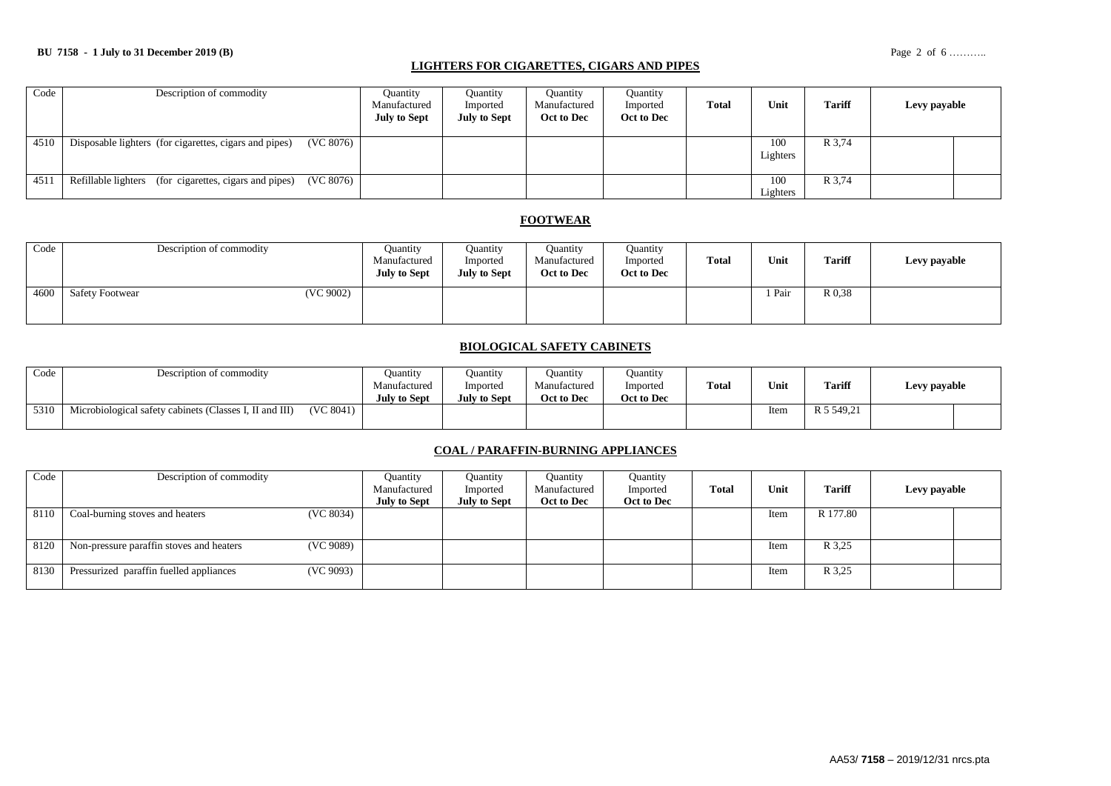### **LIGHTERS FOR CIGARETTES, CIGARS AND PIPES**

| Code | Description of commodity                                            | <b>Quantity</b><br>Manufactured<br><b>July to Sept</b> | Ouantity<br>Imported<br><b>July to Sept</b> | Ouantity<br>Manufactured<br>Oct to Dec | Ouantity<br>Imported<br>Oct to Dec | Total | Unit            | <b>Tariff</b> | Levy payable |
|------|---------------------------------------------------------------------|--------------------------------------------------------|---------------------------------------------|----------------------------------------|------------------------------------|-------|-----------------|---------------|--------------|
| 4510 | (VC 8076)<br>Disposable lighters (for cigarettes, cigars and pipes) |                                                        |                                             |                                        |                                    |       | 100<br>Lighters | R 3,74        |              |
| 4511 | (VC 8076)<br>Refillable lighters (for cigarettes, cigars and pipes) |                                                        |                                             |                                        |                                    |       | 100<br>Lighters | R 3,74        |              |

### **FOOTWEAR**

| Code | Description of commodity            | <b>Ouantity</b><br>Manufactured<br><b>July to Sept</b> | Ouantity<br>Imported<br><b>July to Sept</b> | <b>Quantity</b><br>Manufactured<br>Oct to Dec | <b>Ouantity</b><br>Imported<br>Oct to Dec | <b>Total</b> | Unit   | <b>Tariff</b> | Levy payable |
|------|-------------------------------------|--------------------------------------------------------|---------------------------------------------|-----------------------------------------------|-------------------------------------------|--------------|--------|---------------|--------------|
| 4600 | (VC 9002)<br><b>Safety Footwear</b> |                                                        |                                             |                                               |                                           |              | 1 Pair | R 0.38        |              |

#### **BIOLOGICAL SAFETY CABINETS**

| Code | Description of commodity                                             | Juantity<br>Manufactured<br><b>July to Sept</b> | Ouantity<br>Imported<br><b>July to Sept</b> | Ouantity<br>Manufactured<br>Oct to Dec | <b>Quantity</b><br>Imported<br>Oct to Dec | <b>Total</b> | Unit | <b>Tariff</b> | Levy payable |  |
|------|----------------------------------------------------------------------|-------------------------------------------------|---------------------------------------------|----------------------------------------|-------------------------------------------|--------------|------|---------------|--------------|--|
| 5310 | (VC 8041)<br>Microbiological safety cabinets (Classes I, II and III) |                                                 |                                             |                                        |                                           |              | Item | R 5 549.21    |              |  |

### **COAL / PARAFFIN-BURNING APPLIANCES**

| Code | Description of commodity                              | Quantity            | Ouantity     | Quantity     | Quantity   |              |      |          |              |  |
|------|-------------------------------------------------------|---------------------|--------------|--------------|------------|--------------|------|----------|--------------|--|
|      |                                                       | Manufactured        | Imported     | Manufactured | Imported   | <b>Total</b> | Unit | Tariff   | Levy payable |  |
|      |                                                       | <b>July to Sept</b> | July to Sept | Oct to Dec   | Oct to Dec |              |      |          |              |  |
| 8110 | (VC 8034)<br>Coal-burning stoves and heaters          |                     |              |              |            |              | Item | R 177.80 |              |  |
|      |                                                       |                     |              |              |            |              |      |          |              |  |
| 8120 | (VC 9089)<br>Non-pressure paraffin stoves and heaters |                     |              |              |            |              | Item | R 3,25   |              |  |
|      |                                                       |                     |              |              |            |              |      |          |              |  |
| 8130 | Pressurized paraffin fuelled appliances<br>(VC 9093)  |                     |              |              |            |              | Item | R 3,25   |              |  |
|      |                                                       |                     |              |              |            |              |      |          |              |  |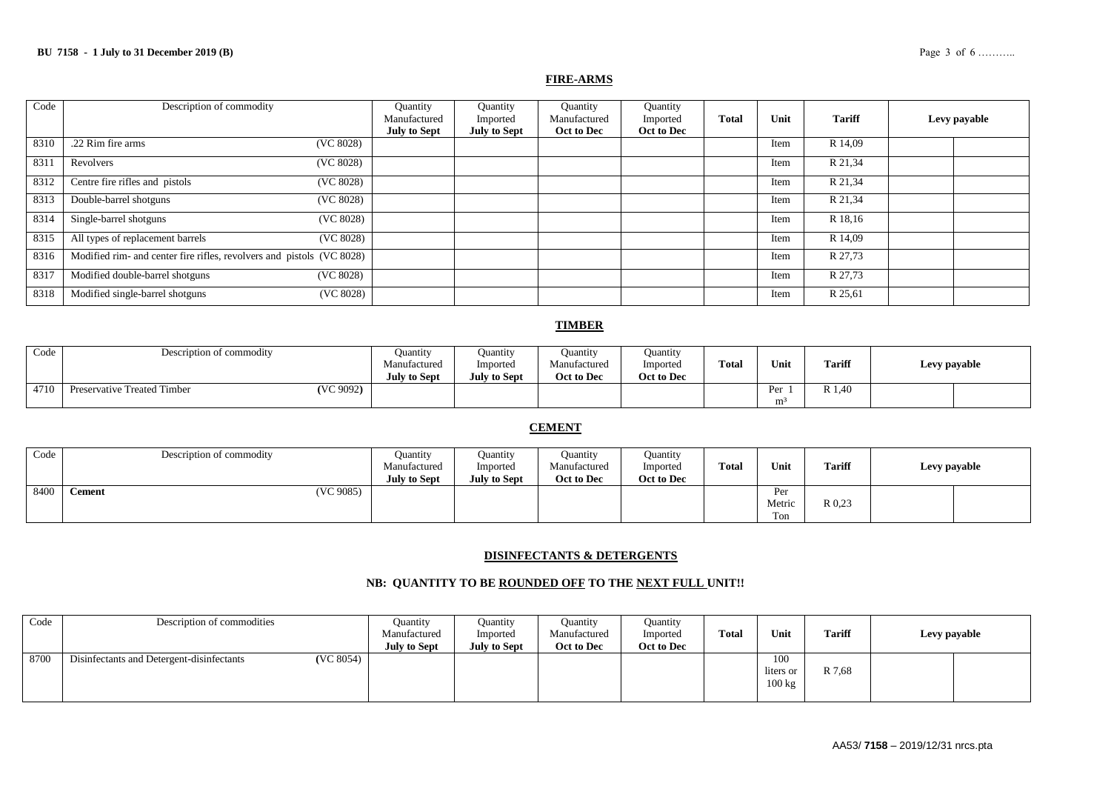#### **FIRE-ARMS**

| Code | Description of commodity                                              | Quantity<br>Manufactured | Quantity<br>Imported | Quantity<br>Manufactured | Quantity<br>Imported | <b>Total</b> | Unit | <b>Tariff</b> | Levy payable |
|------|-----------------------------------------------------------------------|--------------------------|----------------------|--------------------------|----------------------|--------------|------|---------------|--------------|
|      |                                                                       | <b>July to Sept</b>      | <b>July to Sept</b>  | Oct to Dec               | Oct to Dec           |              |      |               |              |
| 8310 | .22 Rim fire arms<br>(VC 8028)                                        |                          |                      |                          |                      |              | Item | R 14,09       |              |
| 8311 | (VC 8028)<br>Revolvers                                                |                          |                      |                          |                      |              | Item | R 21,34       |              |
| 8312 | Centre fire rifles and pistols<br>(VC 8028)                           |                          |                      |                          |                      |              | Item | R 21,34       |              |
| 8313 | Double-barrel shotguns<br>(VC 8028)                                   |                          |                      |                          |                      |              | Item | R 21,34       |              |
| 8314 | Single-barrel shotguns<br>(VC 8028)                                   |                          |                      |                          |                      |              | Item | R 18,16       |              |
| 8315 | All types of replacement barrels<br>(VC 8028)                         |                          |                      |                          |                      |              | Item | R 14,09       |              |
| 8316 | Modified rim- and center fire rifles, revolvers and pistols (VC 8028) |                          |                      |                          |                      |              | Item | R 27,73       |              |
| 8317 | Modified double-barrel shotguns<br>(VC 8028)                          |                          |                      |                          |                      |              | Item | R 27,73       |              |
| 8318 | Modified single-barrel shotguns<br>(VC 8028)                          |                          |                      |                          |                      |              | Item | R 25,61       |              |

### **TIMBER**

| Code | Description of commodity                 | Ouantity<br>Manufactured<br><b>July to Sept</b> | Ouantity<br>Imported<br><b>July to Sept</b> | Ouantity<br>Manufactured<br>Oct to Dec | <b>Quantity</b><br>Imported<br>Oct to Dec | <b>Total</b> | Unit | <b>Tariff</b>            | Levy payable |
|------|------------------------------------------|-------------------------------------------------|---------------------------------------------|----------------------------------------|-------------------------------------------|--------------|------|--------------------------|--------------|
| 4710 | (VC 9092)<br>Preservative Treated Timber |                                                 |                                             |                                        |                                           |              | m,   | $\mathbf{D}$ 1<br>R 1,40 |              |

### **CEMENT**

| Code | Description of commodity | Ouantity<br>Manufactured<br><b>July to Sept</b> | Ouantity<br>Imported<br><b>July to Sept</b> | Ouantity<br>Manufactured<br>Oct to Dec | Ouantity<br>Imported<br>Oct to Dec | <b>Total</b> | Unit                 | <b>Tariff</b> | Levy payable |  |
|------|--------------------------|-------------------------------------------------|---------------------------------------------|----------------------------------------|------------------------------------|--------------|----------------------|---------------|--------------|--|
| 8400 | (VC 9085)<br>Cement      |                                                 |                                             |                                        |                                    |              | Per<br>Metric<br>Ton | R 0.23        |              |  |

### **DISINFECTANTS & DETERGENTS**

### **NB: QUANTITY TO BE ROUNDED OFF TO THE NEXT FULL UNIT!!**

| Code | Description of commodities                |           | Ouantity<br>Manufactured<br><b>July to Sept</b> | Ouantity<br>Imported<br><b>July to Sept</b> | <b>Quantity</b><br>Manufactured<br>Oct to Dec | Ouantity<br>Imported<br>Oct to Dec | Total | Unit                       | <b>Tariff</b> | Levy payable |  |
|------|-------------------------------------------|-----------|-------------------------------------------------|---------------------------------------------|-----------------------------------------------|------------------------------------|-------|----------------------------|---------------|--------------|--|
| 8700 | Disinfectants and Detergent-disinfectants | (VC 8054) |                                                 |                                             |                                               |                                    |       | 100<br>liters or<br>100 kg | R 7,68        |              |  |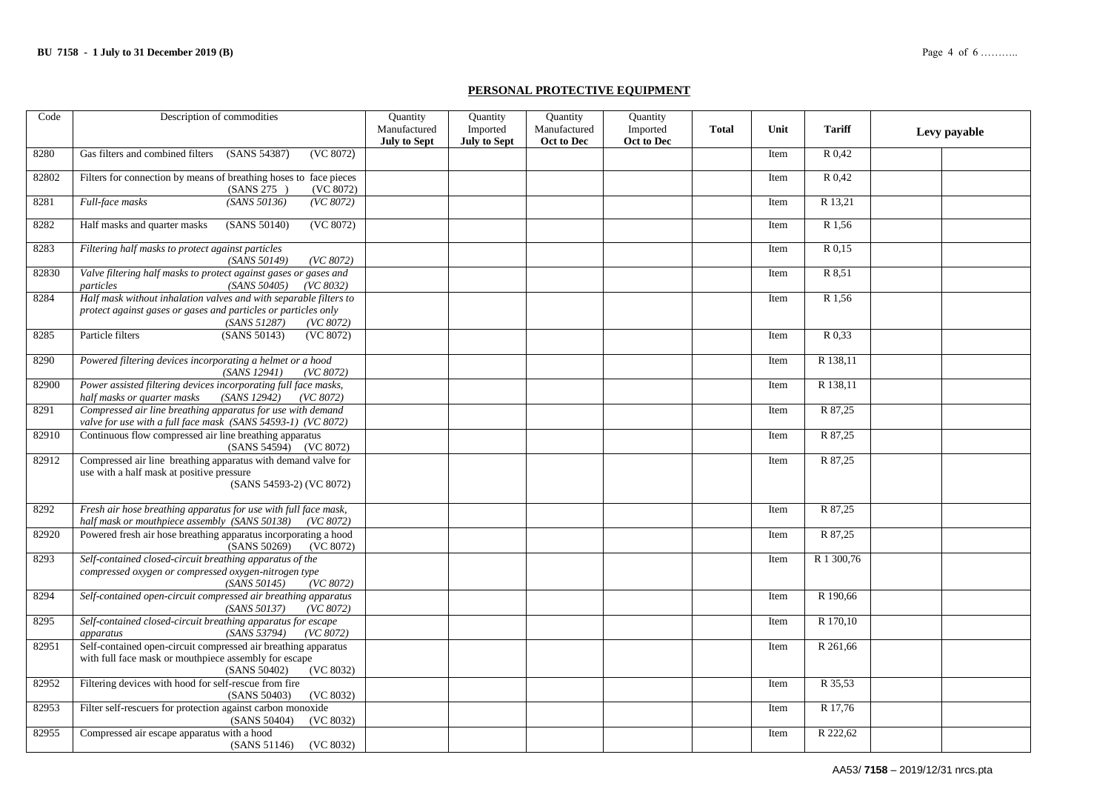### **PERSONAL PROTECTIVE EQUIPMENT**

| Code  | Description of commodities                                                                                                                                       | Quantity                            | Quantity                        | Quantity                   | Quantity               |              |      |               |              |
|-------|------------------------------------------------------------------------------------------------------------------------------------------------------------------|-------------------------------------|---------------------------------|----------------------------|------------------------|--------------|------|---------------|--------------|
|       |                                                                                                                                                                  | Manufactured<br><b>July to Sept</b> | Imported<br><b>July to Sept</b> | Manufactured<br>Oct to Dec | Imported<br>Oct to Dec | <b>Total</b> | Unit | <b>Tariff</b> | Levy payable |
| 8280  | Gas filters and combined filters<br>(SANS 54387)<br>(VC 8072)                                                                                                    |                                     |                                 |                            |                        |              | Item | R 0.42        |              |
| 82802 | Filters for connection by means of breathing hoses to face pieces<br>(SANS 275)<br>(VC 8072)                                                                     |                                     |                                 |                            |                        |              | Item | R 0,42        |              |
| 8281  | Full-face masks<br>(SANS 50136)<br>(VC 8072)                                                                                                                     |                                     |                                 |                            |                        |              | Item | R 13,21       |              |
| 8282  | (VC 8072)<br>Half masks and quarter masks<br>(SANS 50140)                                                                                                        |                                     |                                 |                            |                        |              | Item | R 1,56        |              |
| 8283  | Filtering half masks to protect against particles<br>(SANS 50149)<br>(VC 8072)                                                                                   |                                     |                                 |                            |                        |              | Item | R 0.15        |              |
| 82830 | Valve filtering half masks to protect against gases or gases and<br>(SANS 50405)<br>particles<br>(VC 8032)                                                       |                                     |                                 |                            |                        |              | Item | R 8,51        |              |
| 8284  | Half mask without inhalation valves and with separable filters to<br>protect against gases or gases and particles or particles only<br>(SANS 51287)<br>(VC 8072) |                                     |                                 |                            |                        |              | Item | R1,56         |              |
| 8285  | Particle filters<br>(SANS 50143)<br>(VC 8072)                                                                                                                    |                                     |                                 |                            |                        |              | Item | R 0,33        |              |
| 8290  | Powered filtering devices incorporating a helmet or a hood<br>(SANS 12941)<br>(VC 8072)                                                                          |                                     |                                 |                            |                        |              | Item | R 138,11      |              |
| 82900 | Power assisted filtering devices incorporating full face masks,<br>(SANS 12942)<br>half masks or quarter masks<br>(VC 8072)                                      |                                     |                                 |                            |                        |              | Item | R 138,11      |              |
| 8291  | Compressed air line breathing apparatus for use with demand<br>valve for use with a full face mask (SANS 54593-1) (VC 8072)                                      |                                     |                                 |                            |                        |              | Item | R 87,25       |              |
| 82910 | Continuous flow compressed air line breathing apparatus<br>(SANS 54594) (VC 8072)                                                                                |                                     |                                 |                            |                        |              | Item | R 87,25       |              |
| 82912 | Compressed air line breathing apparatus with demand valve for<br>use with a half mask at positive pressure<br>(SANS 54593-2) (VC 8072)                           |                                     |                                 |                            |                        |              | Item | R 87,25       |              |
| 8292  | Fresh air hose breathing apparatus for use with full face mask,<br>half mask or mouthpiece assembly (SANS 50138) (VC 8072)                                       |                                     |                                 |                            |                        |              | Item | R 87,25       |              |
| 82920 | Powered fresh air hose breathing apparatus incorporating a hood<br>(SANS 50269)<br>(VC 8072)                                                                     |                                     |                                 |                            |                        |              | Item | R 87,25       |              |
| 8293  | Self-contained closed-circuit breathing apparatus of the<br>compressed oxygen or compressed oxygen-nitrogen type<br>(SANS 50145)<br>(VC 8072)                    |                                     |                                 |                            |                        |              | Item | R 1 300,76    |              |
| 8294  | Self-contained open-circuit compressed air breathing apparatus<br>(VC 8072)<br>(SANS 50137)                                                                      |                                     |                                 |                            |                        |              | Item | R 190,66      |              |
| 8295  | Self-contained closed-circuit breathing apparatus for escape<br>(SANS 53794)<br>(VC 8072)<br>apparatus                                                           |                                     |                                 |                            |                        |              | Item | R 170,10      |              |
| 82951 | Self-contained open-circuit compressed air breathing apparatus<br>with full face mask or mouthpiece assembly for escape<br>(VC 8032)<br>(SANS 50402)             |                                     |                                 |                            |                        |              | Item | R 261,66      |              |
| 82952 | Filtering devices with hood for self-rescue from fire<br>(SANS 50403)<br>(VC 8032)                                                                               |                                     |                                 |                            |                        |              | Item | R 35,53       |              |
| 82953 | Filter self-rescuers for protection against carbon monoxide<br>(SANS 50404)<br>(VC 8032)                                                                         |                                     |                                 |                            |                        |              | Item | R 17,76       |              |
| 82955 | Compressed air escape apparatus with a hood<br>(SANS 51146)<br>(VC 8032)                                                                                         |                                     |                                 |                            |                        |              | Item | R 222,62      |              |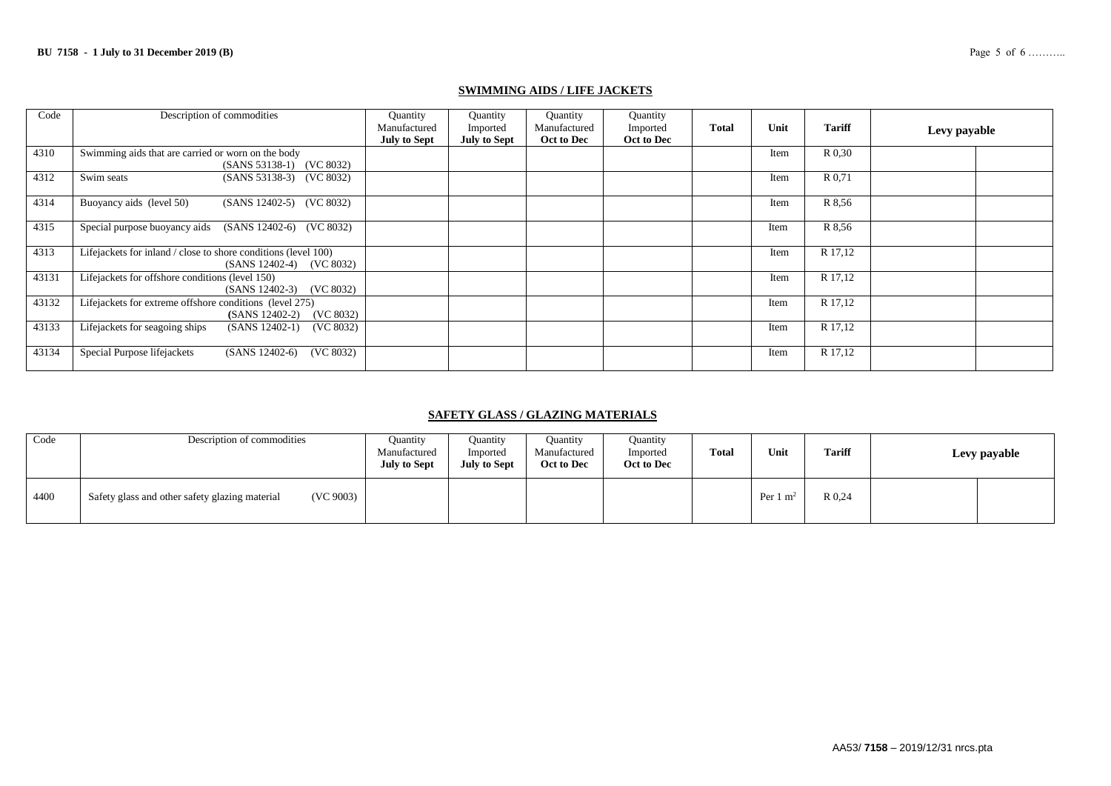### **SWIMMING AIDS / LIFE JACKETS**

| Code  | Description of commodities                                                                 | Quantity<br>Manufactured<br><b>July to Sept</b> | Quantity<br>Imported<br><b>July to Sept</b> | Quantity<br>Manufactured<br>Oct to Dec | Quantity<br>Imported<br>Oct to Dec | <b>Total</b> | Unit | <b>Tariff</b> | Levy payable |
|-------|--------------------------------------------------------------------------------------------|-------------------------------------------------|---------------------------------------------|----------------------------------------|------------------------------------|--------------|------|---------------|--------------|
| 4310  | Swimming aids that are carried or worn on the body<br>(SANS 53138-1) (VC 8032)             |                                                 |                                             |                                        |                                    |              | Item | R 0.30        |              |
| 4312  | (SANS 53138-3) (VC 8032)<br>Swim seats                                                     |                                                 |                                             |                                        |                                    |              | Item | R 0.71        |              |
| 4314  | Buoyancy aids (level 50)<br>(SANS 12402-5) (VC 8032)                                       |                                                 |                                             |                                        |                                    |              | Item | R 8.56        |              |
| 4315  | Special purpose buoyancy aids<br>(SANS 12402-6) (VC 8032)                                  |                                                 |                                             |                                        |                                    |              | Item | R 8.56        |              |
| 4313  | Lifejackets for inland / close to shore conditions (level 100)<br>(SANS 12402-4) (VC 8032) |                                                 |                                             |                                        |                                    |              | Item | R 17,12       |              |
| 43131 | Lifejackets for offshore conditions (level 150)<br>$(SANS 12402-3)$ $(VC 8032)$            |                                                 |                                             |                                        |                                    |              | Item | R 17,12       |              |
| 43132 | Lifejackets for extreme offshore conditions (level 275)<br>(VC 8032)<br>$(SANS 12402-2)$   |                                                 |                                             |                                        |                                    |              | Item | R 17,12       |              |
| 43133 | Lifejackets for seagoing ships<br>(VC 8032)<br>$(SANS 12402-1)$                            |                                                 |                                             |                                        |                                    |              | Item | R 17,12       |              |
| 43134 | Special Purpose lifejackets<br>(VC 8032)<br>$(SANS 12402-6)$                               |                                                 |                                             |                                        |                                    |              | Item | R 17,12       |              |

### **SAFETY GLASS / GLAZING MATERIALS**

| Code | Description of commodities                                  | Ouantity<br>Manufactured<br><b>July to Sept</b> | Ouantity<br>Imported<br><b>July to Sept</b> | <b>Quantity</b><br>Manufactured<br>Oct to Dec | Ouantity<br>Imported<br>Oct to Dec | <b>Total</b> | Unit                | <b>Tariff</b> | Levy payable |
|------|-------------------------------------------------------------|-------------------------------------------------|---------------------------------------------|-----------------------------------------------|------------------------------------|--------------|---------------------|---------------|--------------|
| 4400 | (VC 9003)<br>Safety glass and other safety glazing material |                                                 |                                             |                                               |                                    |              | Per $1 \text{ m}^2$ | R 0,24        |              |